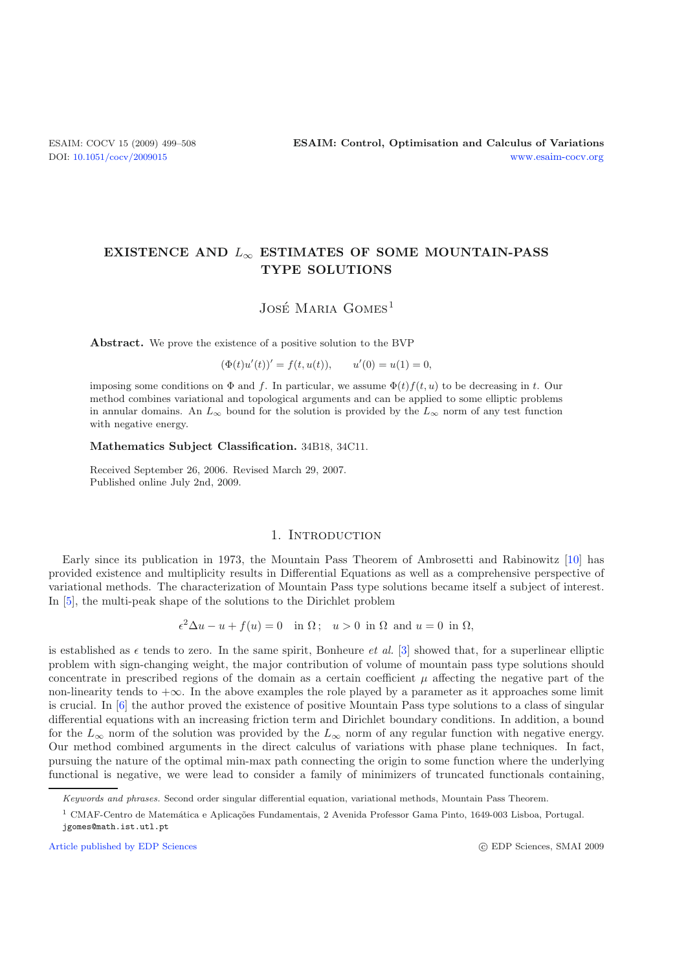# **EXISTENCE AND** <sup>L</sup><sup>∞</sup> **ESTIMATES OF SOME MOUNTAIN-PASS TYPE SOLUTIONS**

JOSÉ MARIA GOMES<sup>1</sup>

**Abstract.** We prove the existence of a positive solution to the BVP

 $(\Phi(t)u'(t))' = f(t, u(t)),$   $u'(0) = u(1) = 0,$ 

imposing some conditions on  $\Phi$  and *f*. In particular, we assume  $\Phi(t) f(t, u)$  to be decreasing in *t*. Our method combines variational and topological arguments and can be applied to some elliptic problems in annular domains. An  $L_{\infty}$  bound for the solution is provided by the  $L_{\infty}$  norm of any test function with negative energy.

#### **Mathematics Subject Classification.** 34B18, 34C11.

Received September 26, 2006. Revised March 29, 2007. Published online July 2nd, 2009.

## 1. INTRODUCTION

Early since its publication in 1973, the Mountain Pass Theorem of Ambrosetti and Rabinowitz [\[10](#page-9-0)] has provided existence and multiplicity results in Differential Equations as well as a comprehensive perspective of variational methods. The characterization of Mountain Pass type solutions became itself a subject of interest. In [\[5](#page-9-1)], the multi-peak shape of the solutions to the Dirichlet problem

 $2\Delta u - u + f(u) = 0$  in  $\Omega$ ;  $u > 0$  in  $\Omega$  and  $u = 0$  in  $\Omega$ ,

is established as  $\epsilon$  tends to zero. In the same spirit, Bonheure *et al.* [\[3](#page-9-2)] showed that, for a superlinear elliptic<br>problem with sign-changing weight, the major contribution of volume of mountain pass type solutions s problem with sign-changing weight, the major contribution of volume of mountain pass type solutions should concentrate in prescribed regions of the domain as a certain coefficient  $\mu$  affecting the negative part of the non-linearity tends to  $+\infty$ . In the above examples the role played by a parameter as it approaches some limit is crucial. In [\[6](#page-9-3)] the author proved the existence of positive Mountain Pass type solutions to a class of singular differential equations with an increasing friction term and Dirichlet boundary conditions. In addition, a bound for the  $L_{\infty}$  norm of the solution was provided by the  $L_{\infty}$  norm of any regular function with negative energy. Our method combined arguments in the direct calculus of variations with phase plane techniques. In fact, pursuing the nature of the optimal min-max path connecting the origin to some function where the underlying functional is negative, we were lead to consider a family of minimizers of truncated functionals containing,

Keywords and phrases. Second order singular differential equation, variational methods, Mountain Pass Theorem.

 $^1$  CMAF-Centro de Matemática e Aplicações Fundamentais, 2 Avenida Professor Gama Pinto, 1649-003 Lisboa, Portugal. jgomes@math.ist.utl.pt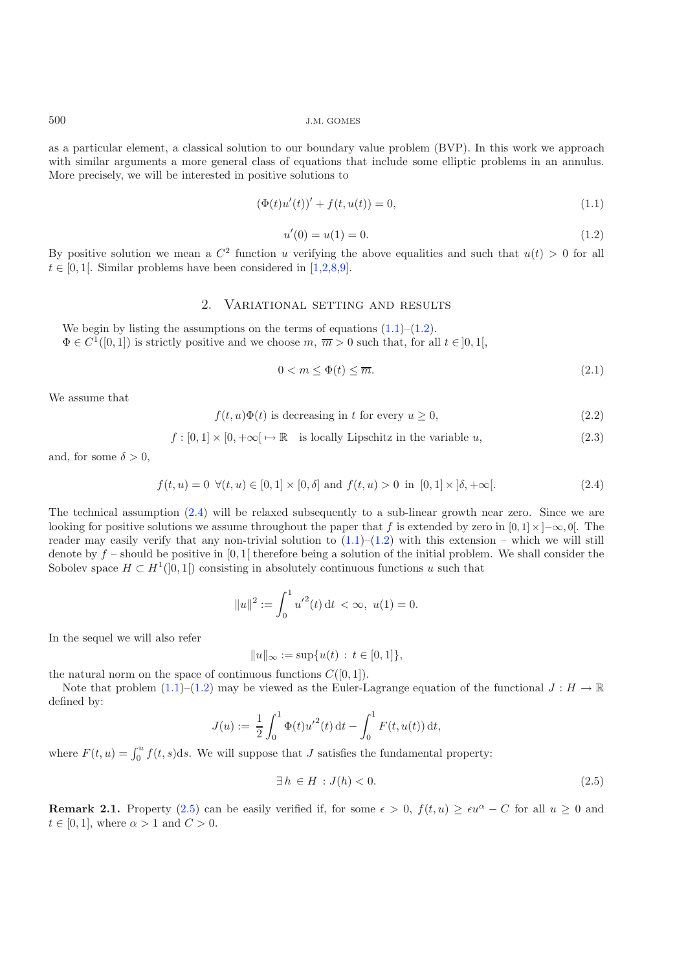as a particular element, a classical solution to our boundary value problem (BVP). In this work we approach with similar arguments a more general class of equations that include some elliptic problems in an annulus. More precisely, we will be interested in positive solutions to

<span id="page-1-4"></span><span id="page-1-1"></span>
$$
(\Phi(t)u'(t))' + f(t, u(t)) = 0,
$$
\n(1.1)

$$
u'(0) = u(1) = 0.\t\t(1.2)
$$

<span id="page-1-6"></span><span id="page-1-5"></span>By positive solution we mean a  $C^2$  function u verifying the above equalities and such that  $u(t) > 0$  for all  $t \in [0, 1]$ . Similar problems have been considered in [1.2.8.0]  $t \in [0, 1]$ . Similar problems have been considered in [\[1](#page-9-4)[,2](#page-9-5)[,8](#page-9-6)[,9\]](#page-9-7).

# 2. Variational setting and results

<span id="page-1-2"></span>We begin by listing the assumptions on the terms of equations  $(1.1)$ – $(1.2)$ .  $\Phi \in C^1([0,1])$  is strictly positive and we choose m,  $\overline{m} > 0$  such that, for all  $t \in ]0,1[$ ,

$$
0 < m \le \Phi(t) \le \overline{m}.\tag{2.1}
$$

We assume that

$$
f(t, u)\Phi(t)
$$
 is decreasing in t for every  $u \ge 0$ , (2.2)

$$
f: [0,1] \times [0, +\infty[ \mapsto \mathbb{R} \text{ is locally Lipschitz in the variable } u,
$$
\n
$$
(2.3)
$$

and, for some  $\delta > 0$ ,

$$
f(t, u) = 0 \ \forall (t, u) \in [0, 1] \times [0, \delta] \text{ and } f(t, u) > 0 \text{ in } [0, 1] \times [\delta, +\infty[.
$$
 (2.4)

The technical assumption  $(2.4)$  will be relaxed subsequently to a sub-linear growth near zero. Since we are looking for positive solutions we assume throughout the paper that <sup>f</sup> is extended by zero in [0*,* 1] <sup>×</sup> ]−∞*,* 0[. The reader may easily verify that any non-trivial solution to  $(1.1)$ – $(1.2)$  with this extension – which we will still denote by  $f$  – should be positive in [0, 1] therefore being a solution of the initial problem. We shall consider the Sobolev space  $H \subset H^1(0,1)$  consisting in absolutely continuous functions u such that

<span id="page-1-3"></span>
$$
||u||^2 := \int_0^1 u'^2(t) dt < \infty, \ u(1) = 0.
$$

In the sequel we will also refer

$$
||u||_{\infty} := \sup \{ u(t) : t \in [0,1] \},\
$$

the natural norm on the space of continuous functions  $C([0, 1])$ .<br>Note that problem  $(1, 1)$ – $(1, 2)$  may be viewed as the Euler-I

Note that problem  $(1.1)$ – $(1.2)$  may be viewed as the Euler-Lagrange equation of the functional  $J : H \to \mathbb{R}$ defined by:

$$
J(u) := \frac{1}{2} \int_0^1 \Phi(t) u'^2(t) dt - \int_0^1 F(t, u(t)) dt,
$$

where  $F(t, u) = \int_0^u f(t, s) ds$ . We will suppose that J satisfies the fundamental property:

$$
\exists h \in H : J(h) < 0. \tag{2.5}
$$

**Remark 2.1.** Property [\(2.5\)](#page-1-3) can be easily verified if, for some  $\epsilon > 0$ ,  $f(t, u) \geq \epsilon u^{\alpha} - C$  for all  $u \geq 0$  and  $t \in [0, 1]$  where  $\alpha > 1$  and  $C > 0$  $t \in [0, 1]$ , where  $\alpha > 1$  and  $C > 0$ .

<span id="page-1-0"></span>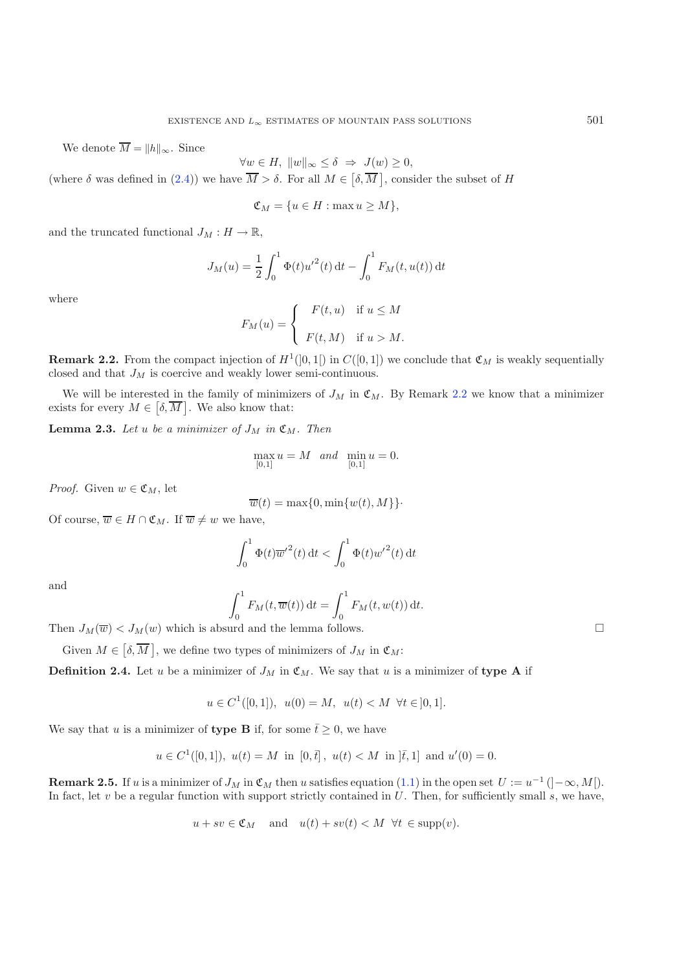We denote  $\overline{M} = ||h||_{\infty}$ . Since

 $\forall w \in H, \|w\|_{\infty} \leq \delta \Rightarrow J(w) \geq 0,$ <br> $\overline{M}$ ,  $\overline{s}$ ,  $\overline{R}$ ,  $w \neq 0$ ,  $\overline{M}$ 

(where  $\delta$  was defined in [\(2.4\)](#page-1-2)) we have  $\overline{M} > \delta$ . For all  $M \in [\delta, \overline{M}]$ , consider the subset of  $H$ 

$$
\mathfrak{C}_M = \{ u \in H : \max u \ge M \},\
$$

and the truncated functional  $J_M : H \to \mathbb{R}$ ,

$$
J_M(u) = \frac{1}{2} \int_0^1 \Phi(t) u'^2(t) dt - \int_0^1 F_M(t, u(t)) dt
$$

where

$$
F_M(u) = \begin{cases} F(t, u) & \text{if } u \le M \\ F(t, M) & \text{if } u > M. \end{cases}
$$

<span id="page-2-0"></span>**Remark 2.2.** From the compact injection of  $H^1([0,1])$  in  $C([0,1])$  we conclude that  $\mathfrak{C}_M$  is weakly sequentially closed and that  $J_M$  is coercive and weakly lower semi-continuous.

We will be interested in the family of minimizers of  $J_M$  in  $\mathfrak{C}_M$ . By Remark [2.2](#page-2-0) we know that a minimizer exists for every  $M \in [\delta, \overline{M}]$ . We also know that:

<span id="page-2-2"></span>**Lemma 2.3.** Let u be a minimizer of  $J_M$  in  $\mathfrak{C}_M$ . Then

$$
\max_{[0,1]}u=M\quad and\quad \min_{[0,1]}u=0.
$$

*Proof.* Given  $w \in \mathfrak{C}_M$ , let

$$
\overline{w}(t) = \max\{0, \min\{w(t), M\}\}.
$$

Of course,  $\overline{w} \in H \cap \mathfrak{C}_M$ . If  $\overline{w} \neq w$  we have,

$$
\int_0^1 \Phi(t) \overline{w}'^2(t) dt < \int_0^1 \Phi(t) {w'}^2(t) dt
$$

and

$$
\int_0^1 F_M(t, \overline{w}(t)) dt = \int_0^1 F_M(t, w(t)) dt.
$$

Then  $J_M(\overline{w}) < J_M(w)$  which is absurd and the lemma follows.

Given  $M \in [\delta, \overline{M}]$ , we define two types of minimizers of  $J_M$  in  $\mathfrak{C}_M$ :

**Definition 2.4.** Let u be a minimizer of  $J_M$  in  $\mathfrak{C}_M$ . We say that u is a minimizer of type A if

$$
u \in C^1([0,1]), \ u(0) = M, \ u(t) < M \ \forall t \in ]0,1].
$$

We say that u is a minimizer of **type B** if, for some  $\bar{t} \geq 0$ , we have

$$
u \in C^1([0,1]), u(t) = M
$$
 in  $[0,\bar{t}], u(t) < M$  in  $[\bar{t},1]$  and  $u'(0) = 0$ .

<span id="page-2-1"></span>**Remark 2.5.** If u is a minimizer of  $J_M$  in  $\mathfrak{C}_M$  then u satisfies equation [\(1.1\)](#page-1-0) in the open set  $U := u^{-1} (]-\infty, M[$ . In fact, let  $v$  be a regular function with support strictly contained in  $U$ . Then, for sufficiently small  $s$ , we have,

$$
u + sv \in \mathfrak{C}_M
$$
 and  $u(t) + sv(t) < M \ \forall t \in \text{supp}(v)$ .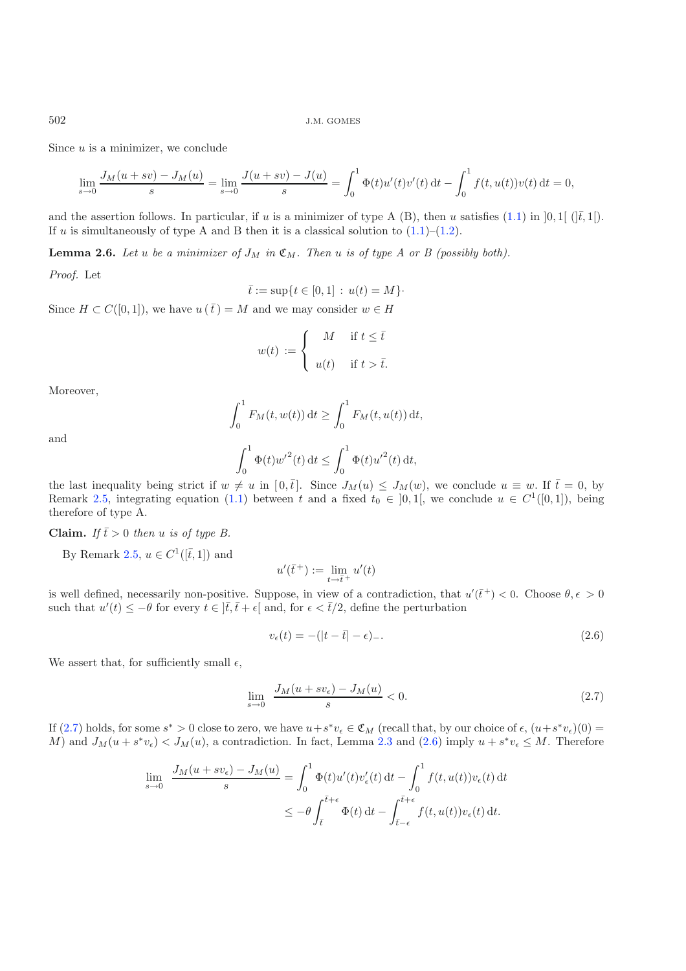Since  $u$  is a minimizer, we conclude

$$
\lim_{s \to 0} \frac{J_M(u + sv) - J_M(u)}{s} = \lim_{s \to 0} \frac{J(u + sv) - J(u)}{s} = \int_0^1 \Phi(t) u'(t) v'(t) dt - \int_0^1 f(t, u(t)) v(t) dt = 0,
$$

and the assertion follows. In particular, if u is a minimizer of type A (B), then u satisfies [\(1.1\)](#page-1-0) in  $[0,1]$  ( $|\bar{t},1|$ ). If u is simultaneously of type A and B then it is a classical solution to  $(1.1)$ – $(1.2)$ .

<span id="page-3-2"></span>**Lemma 2.6.** Let u be a minimizer of  $J_M$  in  $\mathfrak{C}_M$ . Then u is of type A or B (possibly both).

*Proof.* Let

$$
\bar{t} := \sup\{t \in [0,1] : u(t) = M\}.
$$

Since  $H \subset C([0, 1])$ , we have  $u(\bar{t}) = M$  and we may consider  $w \in H$ 

$$
w(t) := \begin{cases} M & \text{if } t \leq \bar{t} \\ u(t) & \text{if } t > \bar{t}. \end{cases}
$$

Moreover,

$$
\int_0^1 F_M(t, w(t)) dt \ge \int_0^1 F_M(t, u(t)) dt,
$$

<span id="page-3-1"></span><span id="page-3-0"></span>
$$
\int_0^1 \Phi(t) {w'}^2(t) dt \le \int_0^1 \Phi(t) {u'}^2(t) dt,
$$

the last inequality being strict if  $w \neq u$  in  $[0, \bar{t}]$ . Since  $J_M(u) \leq J_M(w)$ , we conclude  $u \equiv w$ . If  $\bar{t} = 0$ , by<br>Remark 2.5, integrating equation (1.1) between t and a fixed  $t_0 \in [0, 1]$ , we conclude  $u \in C^1([0, 1])$  Remark [2.5,](#page-2-1) integrating equation [\(1.1\)](#page-1-0) between t and a fixed  $t_0 \in [0,1]$ , we conclude  $u \in C^1([0,1])$ , being therefore of type A.

**Claim.** *If*  $\bar{t} > 0$  *then u is of type B.* 

By Remark [2.5,](#page-2-1)  $u \in C^1([\bar{t}, 1])$  and

$$
u'(\bar{t}^+) := \lim_{t \to \bar{t}^+} u'(t)
$$

is well defined, necessarily non-positive. Suppose, in view of a contradiction, that  $u'(\bar{t}^+) < 0$ . Choose  $\theta, \epsilon > 0$ <br>such that  $u'(t) < -\theta$  for every  $t \in \bar{t}$ ,  $\bar{t} + \epsilon$  and for  $\epsilon < \bar{t}/2$ , define the perturbation such that  $u'(t) \leq -\theta$  for every  $t \in \left] \bar{t}, \bar{t} + \epsilon \right[$  and, for  $\epsilon < \bar{t}/2$ , define the perturbation

$$
v_{\epsilon}(t) = -(|t - \bar{t}| - \epsilon) \tag{2.6}
$$

We assert that, for sufficiently small  $\epsilon$ ,

$$
\lim_{s \to 0} \frac{J_M(u + sv_\epsilon) - J_M(u)}{s} < 0. \tag{2.7}
$$

If [\(2.7\)](#page-3-0) holds, for some  $s^* > 0$  close to zero, we have  $u + s^*v_\epsilon \in \mathfrak{C}_M$  (recall that, by our choice of  $\epsilon$ ,  $(u + s^*v_\epsilon)(0) = M$ ) and  $J_{\mathcal{M}}(u + s^*v) \leq J_{\mathcal{M}}(u)$  a contradiction. In fact, Lemma 2.3 and (2.6) imply M) and  $J_M(u + s^*v_{\epsilon}) < J_M(u)$ , a contradiction. In fact, Lemma [2.3](#page-2-2) and [\(2.6\)](#page-3-1) imply  $u + s^*v_{\epsilon} \leq M$ . Therefore

$$
\lim_{s \to 0} \frac{J_M(u + sv_\epsilon) - J_M(u)}{s} = \int_0^1 \Phi(t) u'(t) v_\epsilon'(t) dt - \int_0^1 f(t, u(t)) v_\epsilon(t) dt
$$
  

$$
\leq -\theta \int_{\bar{t}}^{\bar{t}+\epsilon} \Phi(t) dt - \int_{\bar{t}-\epsilon}^{\bar{t}+\epsilon} f(t, u(t)) v_\epsilon(t) dt.
$$

and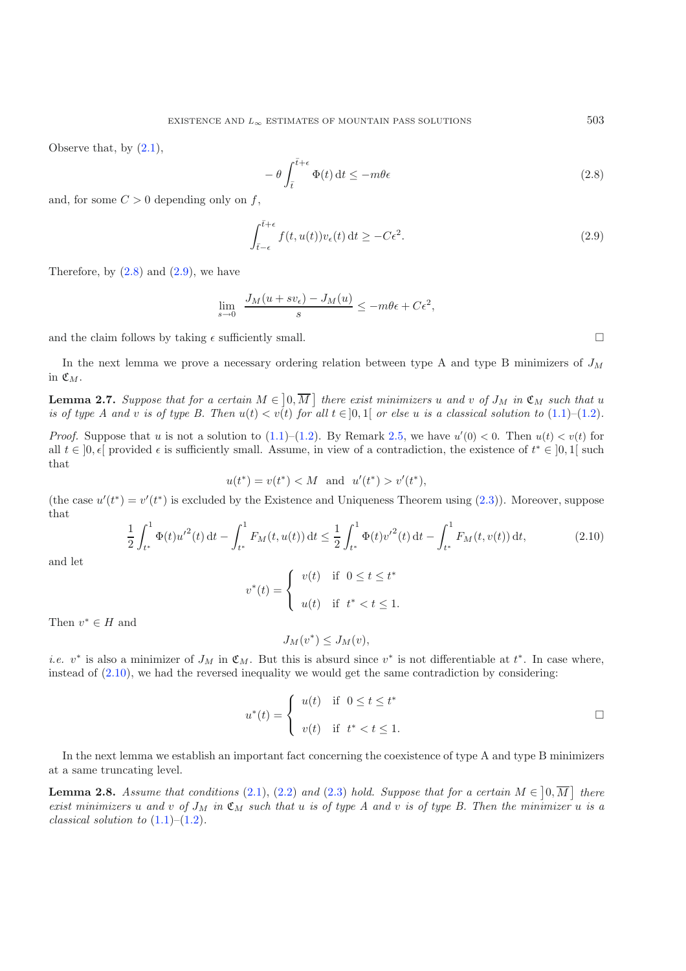Observe that, by  $(2.1)$ ,

<span id="page-4-1"></span><span id="page-4-0"></span>
$$
-\theta \int_{\bar{t}}^{\bar{t}+\epsilon} \Phi(t) dt \le -m\theta \epsilon \tag{2.8}
$$

and, for some  $C > 0$  depending only on f,

$$
\int_{\bar{t}-\epsilon}^{\bar{t}+\epsilon} f(t, u(t)) v_{\epsilon}(t) dt \ge -C\epsilon^2.
$$
\n(2.9)

Therefore, by  $(2.8)$  and  $(2.9)$ , we have

$$
\lim_{s \to 0} \frac{J_M(u + sv_\epsilon) - J_M(u)}{s} \le -m\theta\epsilon + C\epsilon^2,
$$

and the claim follows by taking  $\epsilon$  sufficiently small.  $\Box$ 

<span id="page-4-3"></span><span id="page-4-2"></span>In the next lemma we prove a necessary ordering relation between type A and type B minimizers of  $J_M$ in  $\mathfrak{C}_M$ .

**Lemma 2.7.** Suppose that for a certain  $M \in ]0, \overline{M}]$  there exist minimizers u and v of  $J_M$  in  $\mathfrak{C}_M$  such that u<br>is of type A and y is of type B. Then  $u(t) \leq v(t)$  for all  $t \in ]0, 1]$  or else u is a classical soluti *is of type A and v is of type B. Then*  $u(t) < v(t)$  *for all*  $t \in [0,1]$  *or else* u *is a classical solution to* [\(1.1\)](#page-1-0)–[\(1.2\)](#page-1-1).

*Proof.* Suppose that u is not a solution to  $(1.1)$ – $(1.2)$ . By Remark [2.5,](#page-2-1) we have  $u'(0) < 0$ . Then  $u(t) < v(t)$  for all  $t \in [0, \epsilon]$  provided  $\epsilon$  is sufficiently small. Assume in view of a contradiction, the existence of all  $t \in [0, \epsilon]$  provided  $\epsilon$  is sufficiently small. Assume, in view of a contradiction, the existence of  $t^* \in [0, 1]$  such that that

$$
u(t^*) = v(t^*) < M
$$
 and  $u'(t^*) > v'(t^*),$ 

(the case  $u'(t^*) = v'(t^*)$  is excluded by the Existence and Uniqueness Theorem using [\(2.3\)](#page-1-5)). Moreover, suppose that that

$$
\frac{1}{2} \int_{t^*}^1 \Phi(t) u'^2(t) dt - \int_{t^*}^1 F_M(t, u(t)) dt \le \frac{1}{2} \int_{t^*}^1 \Phi(t) {v'}^2(t) dt - \int_{t^*}^1 F_M(t, v(t)) dt,
$$
\n(2.10)

and let

$$
v^*(t) = \begin{cases} v(t) & \text{if } 0 \le t \le t^* \\ u(t) & \text{if } t^* < t \le 1. \end{cases}
$$

Then  $v^* \in H$  and

$$
J_M(v^*) \le J_M(v),
$$

*i.e.* v<sup>∗</sup> is also a minimizer of  $J_M$  in  $\mathfrak{C}_M$ . But this is absurd since v<sup>∗</sup> is not differentiable at t<sup>\*</sup>. In case where, instead of (2.10), we had the reversed inequality we would get the same contradiction by c instead of [\(2.10\)](#page-4-2), we had the reversed inequality we would get the same contradiction by considering:

$$
u^*(t) = \begin{cases} u(t) & \text{if } 0 \le t \le t^* \\ v(t) & \text{if } t^* < t \le 1. \end{cases}
$$

<span id="page-4-4"></span>In the next lemma we establish an important fact concerning the coexistence of type A and type B minimizers at a same truncating level.

**Lemma 2.8.** *Assume that conditions* [\(2.1\)](#page-1-4), [\(2.2\)](#page-1-6) and [\(2.3\)](#page-1-5) *hold. Suppose that for a certain*  $M \in [0, \overline{M}]$  *there exist minimizers u* and *y* of Ly in  $\mathcal{E}_M$ , such that *u* is of time A and *y* is of time B. Th *exist minimizers* u and v of  $J_M$  *in*  $\mathfrak{C}_M$  *such that* u *is* of type A and v *is* of type B. Then the minimizer u *is* a *classical solution to*  $(1.1)–(1.2)$  $(1.1)–(1.2)$  $(1.1)–(1.2)$ *.*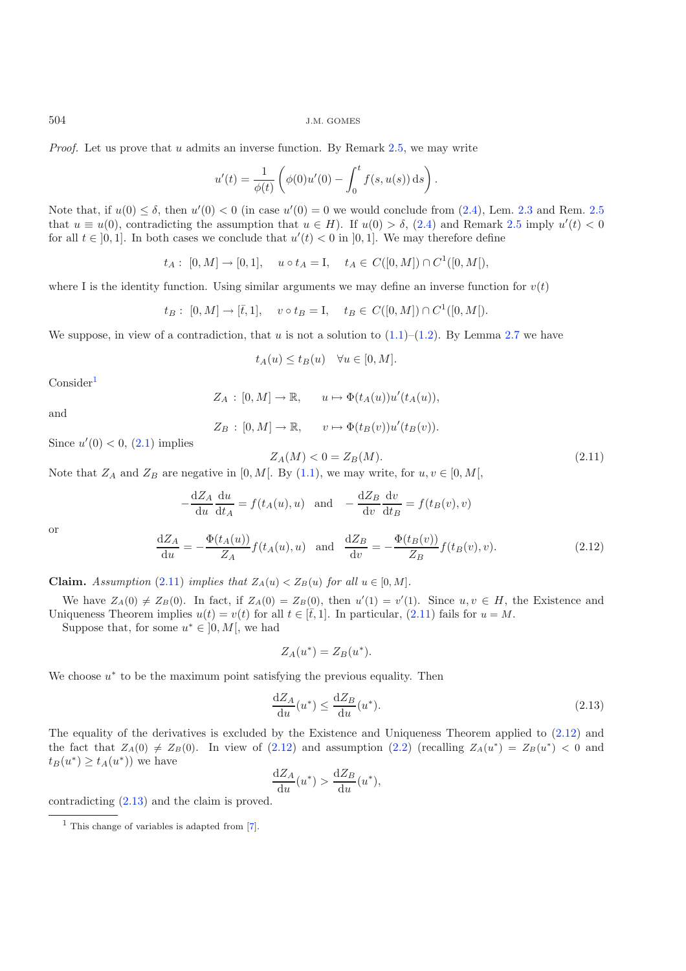*Proof.* Let us prove that u admits an inverse function. By Remark [2.5,](#page-2-1) we may write

$$
u'(t) = \frac{1}{\phi(t)} \left( \phi(0)u'(0) - \int_0^t f(s, u(s)) \, ds \right).
$$

Note that, if  $u(0) \le \delta$ , then  $u'(0) < 0$  (in case  $u'(0) = 0$  we would conclude from [\(2.4\)](#page-1-2), Lem. [2.3](#page-2-2) and Rem. [2.5](#page-2-1) in the symptom that  $u \in H$ . If  $u(0) \le \delta$ , (2.4) and Bemark 2.5 imply  $u'(t) < 0$ that  $u \equiv u(0)$ , contradicting the assumption that  $u \in H$ ). If  $u(0) > \delta$ , [\(2.4\)](#page-1-2) and Remark [2.5](#page-2-1) imply  $u'(t) < 0$  for all  $t \in [0, 1]$ . In both cases we conclude that  $u'(t) < 0$  in  $[0, 1]$ . We may therefore define for all  $t \in [0, 1]$ . In both cases we conclude that  $u'(t) < 0$  in  $[0, 1]$ . We may therefore define

<span id="page-5-1"></span>
$$
t_A: [0, M] \to [0, 1], \quad u \circ t_A = I, \quad t_A \in C([0, M]) \cap C^1([0, M]),
$$

where I is the identity function. Using similar arguments we may define an inverse function for  $v(t)$ 

$$
t_B: [0, M] \to [\bar{t}, 1], \quad v \circ t_B = I, \quad t_B \in C([0, M]) \cap C^1([0, M]).
$$

We suppose, in view of a contradiction, that u is not a solution to  $(1.1)$ – $(1.2)$ . By Lemma [2.7](#page-4-3) we have

$$
t_A(u) \le t_B(u) \quad \forall u \in [0, M].
$$

<span id="page-5-2"></span> $Consider<sup>1</sup>$  $Consider<sup>1</sup>$  $Consider<sup>1</sup>$ 

$$
Z_A : [0, M] \to \mathbb{R}, \qquad u \mapsto \Phi(t_A(u))u'(t_A(u)),
$$

and

$$
Z_B : [0, M] \to \mathbb{R}, \qquad v \mapsto \Phi(t_B(v))u'(t_B(v)).
$$

Since  $u'(0) < 0$ ,  $(2.1)$  implies

$$
Z_A(M) < 0 = Z_B(M). \tag{2.11}
$$

Note that  $Z_A$  and  $Z_B$  are negative in [0, M[. By [\(1.1\)](#page-1-0), we may write, for  $u, v \in [0, M[,$ 

$$
-\frac{dZ_A}{du}\frac{du}{dt_A} = f(t_A(u), u) \text{ and } -\frac{dZ_B}{dv}\frac{dv}{dt_B} = f(t_B(v), v)
$$
  

$$
\frac{Z_A}{du} = -\frac{\Phi(t_A(u))}{Z}f(t_A(u), u) \text{ and } \frac{dZ_B}{du} = -\frac{\Phi(t_B(v))}{Z}f(t_B(v), v).
$$
 (2.12)

or

<span id="page-5-3"></span>
$$
\frac{dZ_A}{du} = -\frac{\Phi(t_A(u))}{Z_A} f(t_A(u), u) \text{ and } \frac{dZ_B}{dv} = -\frac{\Phi(t_B(v))}{Z_B} f(t_B(v), v). \tag{2.12}
$$

**Claim.** *Assumption* [\(2.11\)](#page-5-1) *implies that*  $Z_A(u) < Z_B(u)$  *for all*  $u \in [0, M]$ *.* 

We have  $Z_A(0) \neq Z_B(0)$ . In fact, if  $Z_A(0) = Z_B(0)$ , then  $u'(1) = v'(1)$ . Since  $u, v \in H$ , the Existence and iqueness Theorem inplies  $u(t) = v(t)$  for all  $t \in [t, 1]$ . In particular, (2.11) fails for  $u = M$ Uniqueness Theorem implies  $u(t) = v(t)$  for all  $t \in [\bar{t}, 1]$ . In particular, [\(2.11\)](#page-5-1) fails for  $u = M$ .

Suppose that, for some  $u^* \in [0, M]$ , we had

$$
Z_A(u^*) = Z_B(u^*).
$$

<span id="page-5-0"></span>We choose  $u^*$  to be the maximum point satisfying the previous equality. Then

$$
\frac{\mathrm{d}Z_A}{\mathrm{d}u}(u^*) \le \frac{\mathrm{d}Z_B}{\mathrm{d}u}(u^*). \tag{2.13}
$$

The equality of the derivatives is excluded by the Existence and Uniqueness Theorem applied to [\(2.12\)](#page-5-2) and the fact that  $Z_A(0) \neq Z_B(0)$ . In view of  $(2.12)$  and assumption  $(2.2)$  (recalling  $Z_A(u^*) = Z_B(u^*) < 0$  and  $t_B(u^*) \geq t_A(u^*))$  we have

$$
\frac{\mathrm{d}Z_A}{\mathrm{d}u}(u^*) > \frac{\mathrm{d}Z_B}{\mathrm{d}u}(u^*),
$$

contradicting [\(2.13\)](#page-5-3) and the claim is proved.

<sup>1</sup> This change of variables is adapted from [\[7\]](#page-9-8).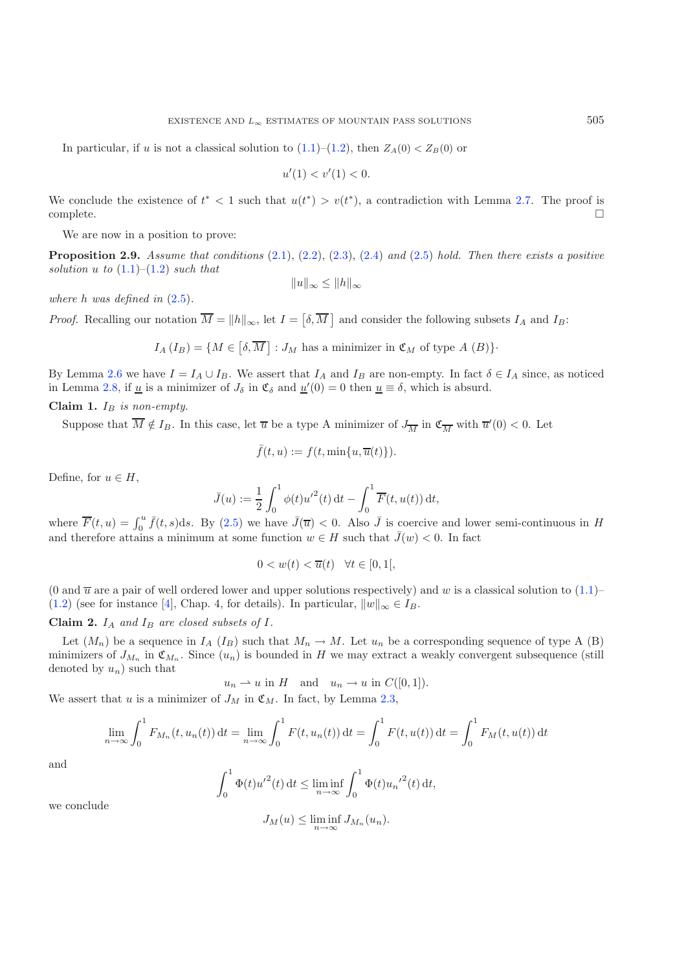In particular, if u is not a classical solution to  $(1.1)$ – $(1.2)$ , then  $Z_A(0) < Z_B(0)$  or

$$
u'(1) < v'(1) < 0.
$$

We conclude the existence of  $t^* < 1$  such that  $u(t^*) > v(t^*)$ , a contradiction with Lemma [2.7.](#page-4-3) The proof is complete  $\Box$  complete.  $\Box$ 

We are now in a position to prove:

<span id="page-6-0"></span>**Proposition 2.9.** *Assume that conditions* [\(2.1\)](#page-1-4), [\(2.2\)](#page-1-6), [\(2.3\)](#page-1-5), [\(2.4\)](#page-1-2) *and* [\(2.5\)](#page-1-3) *hold. Then there exists a positive solution*  $u$  *to*  $(1.1)–(1.2)$  $(1.1)–(1.2)$  $(1.1)–(1.2)$  *such that* 

 $||u||_{\infty} \leq ||h||_{\infty}$ 

*where* h *was defined in* [\(2.5\)](#page-1-3)*.*

*Proof.* Recalling our notation  $\overline{M} = ||h||_{\infty}$ , let  $I = [\delta, \overline{M}]$  and consider the following subsets  $I_A$  and  $I_B$ :

 $I_A (I_B) = \{ M \in [\delta, \overline{M}] : J_M \text{ has a minimizer in } \mathfrak{C}_M \text{ of type } A \text{ } (B) \}.$ 

By Lemma [2.6](#page-3-2) we have  $I = I_A \cup I_B$ . We assert that  $I_A$  and  $I_B$  are non-empty. In fact  $\delta \in I_A$  since, as noticed in Lemma [2.8,](#page-4-4) if <u>u</u> is a minimizer of  $J_{\delta}$  in  $\mathfrak{C}_{\delta}$  and  $\underline{u}'(0) = 0$  then  $\underline{u} \equiv \delta$ , which is absurd.

#### **Claim 1.**  $I_B$  *is non-empty.*

Suppose that  $M \notin I_B$ . In this case, let  $\overline{u}$  be a type A minimizer of  $J_{\overline{M}}$  in  $\mathfrak{C}_{\overline{M}}$  with  $\overline{u}'(0) < 0$ . Let

$$
\bar{f}(t, u) := f(t, \min\{u, \overline{u}(t)\}).
$$

Define, for  $u \in H$ ,

$$
\bar{J}(u) := \frac{1}{2} \int_0^1 \phi(t) {u'}^2(t) dt - \int_0^1 \overline{F}(t, u(t)) dt,
$$

where  $\overline{F}(t, u) = \int_0^u \overline{f}(t, s)ds$ . By [\(2.5\)](#page-1-3) we have  $\overline{J}(\overline{u}) < 0$ . Also  $\overline{J}$  is coercive and lower semi-continuous in H and therefore attains a minimum at some function  $w \in H$  such that  $\overline{f}(w) < 0$ . In fact and therefore attains a minimum at some function  $w \in H$  such that  $\bar{J}(w) < 0$ . In fact

$$
0 < w(t) < \overline{u}(t) \quad \forall t \in [0, 1[,
$$

(0 and  $\overline{u}$  are a pair of well ordered lower and upper solutions respectively) and w is a classical solution to [\(1.1\)](#page-1-0)– [\(1.2\)](#page-1-1) (see for instance [\[4\]](#page-9-9), Chap. 4, for details). In particular,  $||w||_{\infty} \in I_B$ .

### **Claim 2.**  $I_A$  and  $I_B$  are closed subsets of  $I$ .

Let  $(M_n)$  be a sequence in  $I_A$   $(I_B)$  such that  $M_n \to M$ . Let  $u_n$  be a corresponding sequence of type A (B) minimizers of  $J_{M_n}$  in  $\mathfrak{C}_{M_n}$ . Since  $(u_n)$  is bounded in H we may extract a weakly convergent subsequence (still denoted by  $u_n$ ) such that

$$
u_n \rightharpoonup u
$$
 in  $H$  and  $u_n \rightharpoonup u$  in  $C([0, 1])$ .

We assert that u is a minimizer of  $J_M$  in  $\mathfrak{C}_M$ . In fact, by Lemma [2.3,](#page-2-2)

$$
\lim_{n \to \infty} \int_0^1 F_{M_n}(t, u_n(t)) dt = \lim_{n \to \infty} \int_0^1 F(t, u_n(t)) dt = \int_0^1 F(t, u(t)) dt = \int_0^1 F_M(t, u(t)) dt
$$

and

$$
\int_0^1 \Phi(t) {u'}^2(t) dt \le \liminf_{n \to \infty} \int_0^1 \Phi(t) {u_n'}^2(t) dt,
$$

we conclude

$$
J_M(u) \le \liminf_{n \to \infty} J_{M_n}(u_n).
$$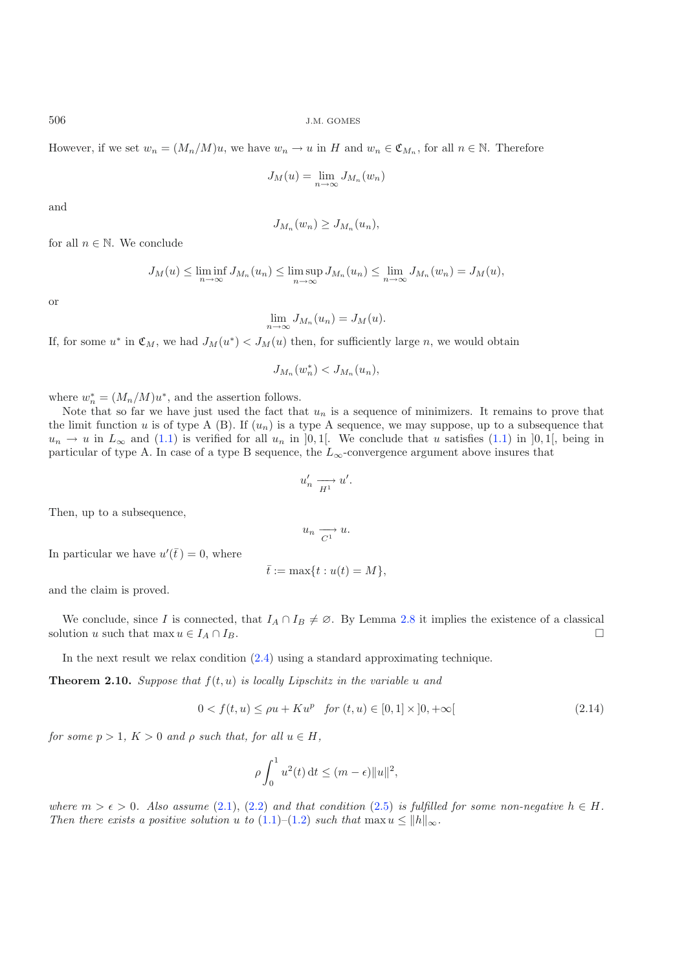However, if we set  $w_n = (M_n/M)u$ , we have  $w_n \to u$  in H and  $w_n \in \mathfrak{C}_{M_n}$ , for all  $n \in \mathbb{N}$ . Therefore

$$
J_M(u) = \lim_{n \to \infty} J_{M_n}(w_n)
$$

and

$$
J_{M_n}(w_n) \geq J_{M_n}(u_n),
$$

for all  $n \in \mathbb{N}$ . We conclude

$$
J_M(u) \le \liminf_{n \to \infty} J_{M_n}(u_n) \le \limsup_{n \to \infty} J_{M_n}(u_n) \le \lim_{n \to \infty} J_{M_n}(w_n) = J_M(u),
$$

or

$$
\lim_{n \to \infty} J_{M_n}(u_n) = J_M(u).
$$

If, for some  $u^*$  in  $\mathfrak{C}_M$ , we had  $J_M(u^*) < J_M(u)$  then, for sufficiently large n, we would obtain

$$
J_{M_n}(w_n^*) < J_{M_n}(u_n),
$$

where  $w_n^* = (M_n/M)u^*$ , and the assertion follows.<br>Note that so far we have just used the fact the

Note that so far we have just used the fact that  $u_n$  is a sequence of minimizers. It remains to prove that the limit function u is of type A (B). If  $(u_n)$  is a type A sequence, we may suppose, up to a subsequence that  $u_n \to u$  in  $L_\infty$  and [\(1.1\)](#page-1-0) is verified for all  $u_n$  in [0, 1]. We conclude that u satisfies (1.1) in [0, 1], being in particular of type A. In case of a type B sequence, the  $L_{\infty}$ -convergence argument above insures that

$$
u'_n \xrightarrow[H^1]{} u'
$$

Then, up to a subsequence,

$$
u_n \xrightarrow[C_1]{} u.
$$

<span id="page-7-0"></span>In particular we have  $u'(\bar{t}) = 0$ , where

$$
\bar{t} := \max\{t : u(t) = M\},\
$$

and the claim is proved.

We conclude, since I is connected, that  $I_A \cap I_B \neq \emptyset$ . By Lemma [2.8](#page-4-4) it implies the existence of a classical solution u such that max  $u \in I_A \cap I_B$ .  $\Box$ 

In the next result we relax condition [\(2.4\)](#page-1-2) using a standard approximating technique.

<span id="page-7-1"></span>**Theorem 2.10.** *Suppose that*  $f(t, u)$  *is locally Lipschitz in the variable* u *and* 

$$
0 < f(t, u) \le \rho u + K u^p \quad \text{for } (t, u) \in [0, 1] \times [0, +\infty[ \tag{2.14}
$$

*for some*  $p > 1$ ,  $K > 0$  *and*  $\rho$  *such that, for all*  $u \in H$ ,

$$
\rho \int_0^1 u^2(t) dt \le (m - \epsilon) \|u\|^2,
$$

*where*  $m > \epsilon > 0$ . Also assume [\(2.1\)](#page-1-4), [\(2.2\)](#page-1-6) and that condition [\(2.5\)](#page-1-3) is fulfilled for some non-negative  $h \in H$ .<br>Then there exists a positive solution u to (1.1)–(1.2) such that  $\max u \le ||h||$ *Then there exists a positive solution* u *to*  $(1.1)$ – $(1.2)$  *such that* max  $u \le ||h||_{\infty}$ .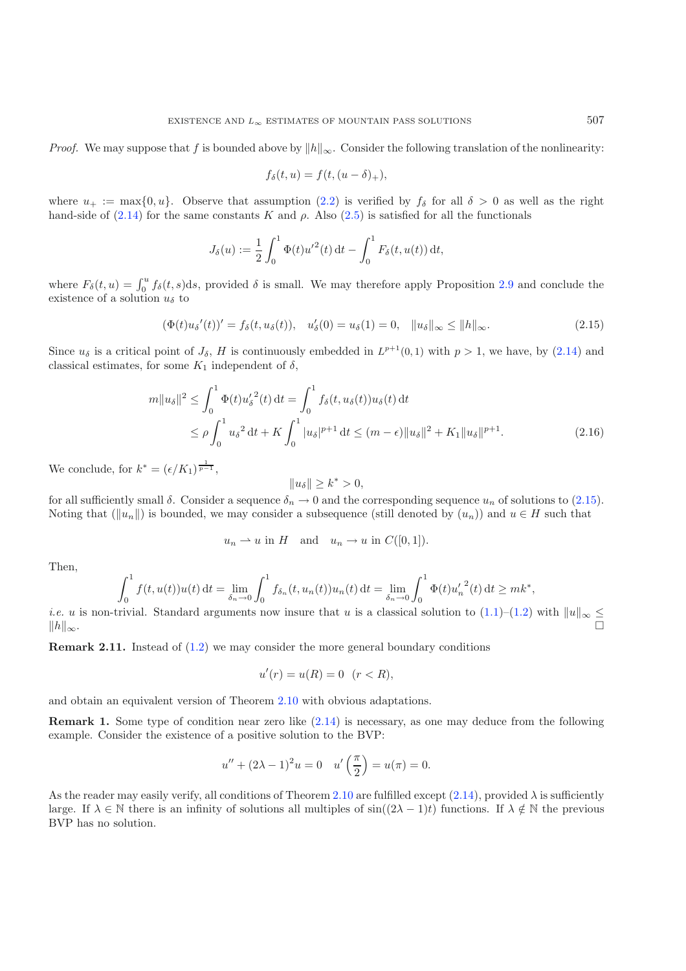<span id="page-8-0"></span>*Proof.* We may suppose that f is bounded above by  $||h||_{\infty}$ . Consider the following translation of the nonlinearity:

$$
f_{\delta}(t, u) = f(t, (u - \delta)_{+}),
$$

where  $u_+ := \max\{0, u\}$ . Observe that assumption  $(2.2)$  is verified by  $f_\delta$  for all  $\delta > 0$  as well as the right hand-side of  $(2.14)$  for the same constants K and  $\rho$ . Also  $(2.5)$  is satisfied for all the functionals

$$
J_{\delta}(u) := \frac{1}{2} \int_0^1 \Phi(t) u'^2(t) dt - \int_0^1 F_{\delta}(t, u(t)) dt,
$$

where  $F_\delta(t, u) = \int_0^u f_\delta(t, s) ds$ , provided  $\delta$  is small. We may therefore apply Proposition [2.9](#page-6-0) and conclude the existence of a solution  $u_s$  to existence of a solution  $u_{\delta}$  to

$$
(\Phi(t)u_{\delta}'(t))' = f_{\delta}(t, u_{\delta}(t)), \quad u'_{\delta}(0) = u_{\delta}(1) = 0, \quad ||u_{\delta}||_{\infty} \le ||h||_{\infty}.
$$
\n(2.15)

Since  $u_{\delta}$  is a critical point of  $J_{\delta}$ , H is continuously embedded in  $L^{p+1}(0,1)$  with  $p > 1$ , we have, by  $(2.14)$  and classical estimates, for some  $K_1$  independent of  $\delta$ ,

$$
m||u_{\delta}||^{2} \leq \int_{0}^{1} \Phi(t) u_{\delta}^{\prime 2}(t) dt = \int_{0}^{1} f_{\delta}(t, u_{\delta}(t)) u_{\delta}(t) dt
$$
  

$$
\leq \rho \int_{0}^{1} u_{\delta}^{2} dt + K \int_{0}^{1} |u_{\delta}|^{p+1} dt \leq (m - \epsilon) ||u_{\delta}||^{2} + K_{1} ||u_{\delta}||^{p+1}.
$$
 (2.16)

We conclude, for  $k^* = (\epsilon/K_1)^{\frac{1}{p-1}}$ ,

$$
||u_{\delta}|| \ge k^* > 0,
$$

for all sufficiently small  $\delta$ . Consider a sequence  $\delta_n \to 0$  and the corresponding sequence  $u_n$  of solutions to [\(2.15\)](#page-8-0).<br>Noting that  $(\|u\|)$  is bounded, we may consider a subsequence (still denoted by  $(u)$ ) and  $u \in H$  Noting that  $(\|u_n\|)$  is bounded, we may consider a subsequence (still denoted by  $(u_n)$ ) and  $u \in H$  such that

$$
u_n \rightharpoonup u
$$
 in  $H$  and  $u_n \rightharpoonup u$  in  $C([0,1]).$ 

Then,

$$
\int_0^1 f(t, u(t))u(t) dt = \lim_{\delta_n \to 0} \int_0^1 f_{\delta_n}(t, u_n(t))u_n(t) dt = \lim_{\delta_n \to 0} \int_0^1 \Phi(t)u'_n^{2}(t) dt \ge mk^*,
$$

*i.e. u* is non-trivial. Standard arguments now insure that *u* is a classical solution to  $(1.1)$ – $(1.2)$  with  $||u||_{\infty} \le ||h||$  $||h||$ ∞. <del>-</del>

<span id="page-8-1"></span>**Remark 2.11.** Instead of  $(1.2)$  we may consider the more general boundary conditions

$$
u'(r) = u(R) = 0 \quad (r < R),
$$

and obtain an equivalent version of Theorem [2.10](#page-7-1) with obvious adaptations.

**Remark 1.** Some type of condition near zero like  $(2.14)$  is necessary, as one may deduce from the following example. Consider the existence of a positive solution to the BVP:

$$
u'' + (2\lambda - 1)^2 u = 0 \quad u' \left(\frac{\pi}{2}\right) = u(\pi) = 0.
$$

As the reader may easily verify, all conditions of Theorem [2.10](#page-7-1) are fulfilled except  $(2.14)$ , provided  $\lambda$  is sufficiently large. If  $\lambda \in \mathbb{N}$  there is an infinity of solutions all multiples of  $sin((2\lambda - 1)t)$  functions. If  $\lambda \notin \mathbb{N}$  the previous BVP has no solution.